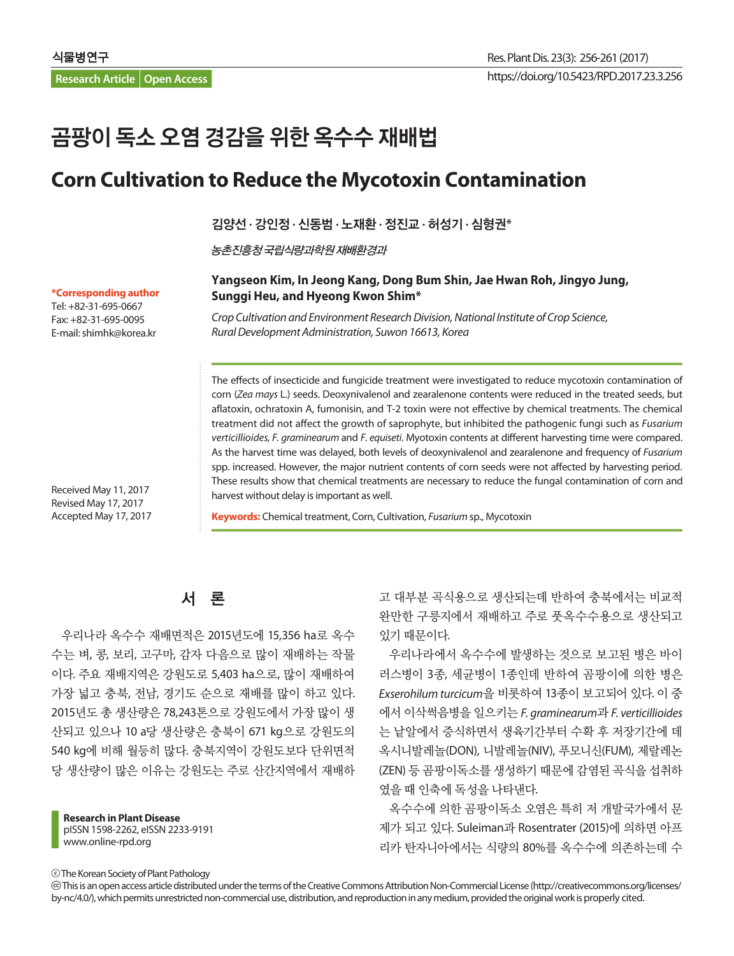**Research Article Open Access**

# 곰팡이 독소 오염 경감을 위한 옥수수 재배법

## **Corn Cultivation to Reduce the Mycotoxin Contamination**

김양선 **·** 강인정 **·** 신동범 **·** 노재환 **·** 정진교 **·** 허성기 **·** 심형권**\***

농촌진흥청국립식량과학원재배환경과

#### **Yangseon Kim, In Jeong Kang, Dong Bum Shin, Jae Hwan Roh, Jingyo Jung, Sunggi Heu, and Hyeong Kwon Shim\***

*Crop Cultivation and Environment Research Division, National Institute of Crop Science, Rural Development Administration, Suwon 16613, Korea*

The effects of insecticide and fungicide treatment were investigated to reduce mycotoxin contamination of corn (*Zea mays* L.) seeds. Deoxynivalenol and zearalenone contents were reduced in the treated seeds, but aflatoxin, ochratoxin A, fumonisin, and T-2 toxin were not effective by chemical treatments. The chemical treatment did not affect the growth of saprophyte, but inhibited the pathogenic fungi such as *Fusarium verticillioides, F. graminearum* and *F. equiseti*. Myotoxin contents at different harvesting time were compared. As the harvest time was delayed, both levels of deoxynivalenol and zearalenone and frequency of *Fusarium* spp. increased. However, the major nutrient contents of corn seeds were not affected by harvesting period. These results show that chemical treatments are necessary to reduce the fungal contamination of corn and harvest without delay is important as well.

**Keywords:** Chemical treatment, Corn, Cultivation, *Fusarium* sp., Mycotoxin

#### **\*Corresponding author**

Tel: +82-31-695-0667 Fax: +82-31-695-0095 E-mail: shimhk@korea.kr

Received May 11, 2017 Revised May 17, 2017 Accepted May 17, 2017

### 서 론

우리나라 옥수수 재배면적은 2015년도에 15,356 ha로 옥수 수는 벼, 콩, 보리, 고구마, 감자 다음으로 많이 재배하는 작물 이다. 주요 재배지역은 강원도로 5,403 ha으로, 많이 재배하여 가장 넓고 충북, 전남, 경기도 순으로 재배를 많이 하고 있다. 2015년도 총 생산량은 78,243톤으로 강원도에서 가장 많이 생 산되고 있으나 10 a당 생산량은 충북이 671 kg으로 강원도의 540 kg에 비해 월등히 많다. 충북지역이 강원도보다 단위면적 당 생산량이 많은 이유는 강원도는 주로 산간지역에서 재배하

**Research in Plant Disease** pISSN 1598-2262, eISSN 2233-9191 www.online-rpd.org

고 대부분 곡식용으로 생산되는데 반하여 충북에서는 비교적 완만한 구릉지에서 재배하고 주로 풋옥수수용으로 생산되고 있기 때문이다.

우리나라에서 옥수수에 발생하는 것으로 보고된 병은 바이 러스병이 3종, 세균병이 1종인데 반하여 곰팡이에 의한 병은 *Exserohilum turcicum*을 비롯하여 13종이 보고되어 있다. 이 중 에서 이삭썩음병을 일으키는 *F. graminearum*과 *F. verticillioides* 는 낱알에서 증식하면서 생육기간부터 수확 후 저장기간에 데 옥시니발레놀(DON), 니발레놀(NIV), 푸모니신(FUM), 제랄레논 (ZEN) 등 곰팡이독소를 생성하기 때문에 감염된 곡식을 섭취하 였을 때 인축에 독성을 나타낸다.

옥수수에 의한 곰팡이독소 오염은 특히 저 개발국가에서 문 제가 되고 있다. Suleiman과 Rosentrater (2015)에 의하면 아프 리카 탄자니아에서는 식량의 80%를 옥수수에 의존하는데 수

The Korean Society of Plant Pathology

 This is an open access article distributed under the terms of the Creative Commons Attribution Non-Commercial License (http://creativecommons.org/licenses/ by-nc/4.0/), which permits unrestricted non-commercial use, distribution, and reproduction in any medium, provided the original work is properly cited.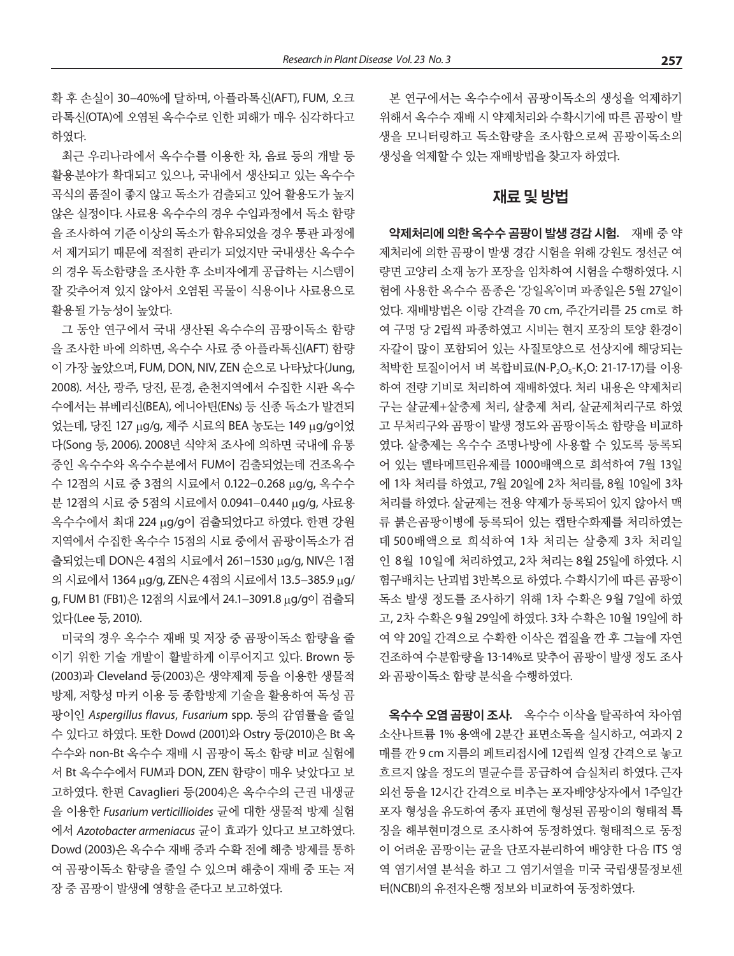확 후 손실이 30-40%에 달하며, 아플라톡신(AFT), FUM, 오크 라톡신(OTA)에 오염된 옥수수로 인한 피해가 매우 심각하다고 하였다.

최근 우리나라에서 옥수수를 이용한 차, 음료 등의 개발 등 활용분야가 확대되고 있으나, 국내에서 생산되고 있는 옥수수 곡식의 품질이 좋지 않고 독소가 검출되고 있어 활용도가 높지 않은 실정이다. 사료용 옥수수의 경우 수입과정에서 독소 함량 을 조사하여 기준 이상의 독소가 함유되었을 경우 통관 과정에 서 제거되기 때문에 적절히 관리가 되었지만 국내생산 옥수수 의 경우 독소함량을 조사한 후 소비자에게 공급하는 시스템이 잘 갖추어져 있지 않아서 오염된 곡물이 식용이나 사료용으로 활용될 가능성이 높았다.

그 동안 연구에서 국내 생산된 옥수수의 곰팡이독소 함량 을 조사한 바에 의하면, 옥수수 사료 중 아플라톡신(AFT) 함량 이 가장 높았으며, FUM, DON, NIV, ZEN 순으로 나타났다(Jung, 2008). 서산, 광주, 당진, 문경, 춘천지역에서 수집한 시판 옥수 수에서는 뷰베리신(BEA), 에니아틴(ENs) 등 신종 독소가 발견되 었는데, 당진 127 mg/g, 제주 시료의 BEA 농도는 149 mg/g이었 다(Song 등, 2006). 2008년 식약처 조사에 의하면 국내에 유통 중인 옥수수와 옥수수분에서 FUM이 검출되었는데 건조옥수 수 12점의 시료 중 3점의 시료에서 0.122-0.268 μg/g, 옥수수 분 12점의 시료 중 5점의 시료에서 0.0941-0.440 mg/g, 사료용 옥수수에서 최대 224 mg/g이 검출되었다고 하였다. 한편 강원 지역에서 수집한 옥수수 15점의 시료 중에서 곰팡이독소가 검 출되었는데 DON은 4점의 시료에서 261-1530 mg/g, NIV은 1점 의 시료에서 1364 μg/g, ZEN은 4점의 시료에서 13.5-385.9 μg/ g, FUM B1 (FB1)은 12점의 시료에서 24.1-3091.8 μg/g이 검출되 었다(Lee 등, 2010).

미국의 경우 옥수수 재배 및 저장 중 곰팡이독소 함량을 줄 이기 위한 기술 개발이 활발하게 이루어지고 있다. Brown 등 (2003)과 Cleveland 등(2003)은 생약제제 등을 이용한 생물적 방제, 저항성 마커 이용 등 종합방제 기술을 활용하여 독성 곰 팡이인 *Aspergillus flavus*, *Fusarium* spp. 등의 감염률을 줄일 수 있다고 하였다. 또한 Dowd (2001)와 Ostry 등(2010)은 Bt 옥 수수와 non-Bt 옥수수 재배 시 곰팡이 독소 함량 비교 실험에 서 Bt 옥수수에서 FUM과 DON, ZEN 함량이 매우 낮았다고 보 고하였다. 한편 Cavaglieri 등(2004)은 옥수수의 근권 내생균 을 이용한 *Fusarium verticillioides* 균에 대한 생물적 방제 실험 에서 *Azotobacter armeniacus* 균이 효과가 있다고 보고하였다. Dowd (2003)은 옥수수 재배 중과 수확 전에 해충 방제를 통하 여 곰팡이독소 함량을 줄일 수 있으며 해충이 재배 중 또는 저 장 중 곰팡이 발생에 영향을 준다고 보고하였다.

본 연구에서는 옥수수에서 곰팡이독소의 생성을 억제하기 위해서 옥수수 재배 시 약제처리와 수확시기에 따른 곰팡이 발 생을 모니터링하고 독소함량을 조사함으로써 곰팡이독소의 생성을 억제할 수 있는 재배방법을 찾고자 하였다.

#### 재료 및 방법

약제처리에 의한 옥수수 곰팡이 발생 경감 시험**.** 재배 중 약 제처리에 의한 곰팡이 발생 경감 시험을 위해 강원도 정선군 여 량면 고양리 소재 농가 포장을 임차하여 시험을 수행하였다. 시 험에 사용한 옥수수 품종은 '강일옥'이며 파종일은 5월 27일이 었다. 재배방법은 이랑 간격을 70 cm, 주간거리를 25 cm로 하 여 구멍 당 2립씩 파종하였고 시비는 현지 포장의 토양 환경이 자갈이 많이 포함되어 있는 사질토양으로 선상지에 해당되는 척박한 토질이어서 벼 복합비료(N-P<sub>2</sub>O<sub>5</sub>-K<sub>2</sub>O: 21-17-17)를 이용 하여 전량 기비로 처리하여 재배하였다. 처리 내용은 약제처리 구는 살균제+살충제 처리, 살충제 처리, 살균제처리구로 하였 고 무처리구와 곰팡이 발생 정도와 곰팡이독소 함량을 비교하 였다. 살충제는 옥수수 조명나방에 사용할 수 있도록 등록되 어 있는 델타메트린유제를 1000배액으로 희석하여 7월 13일 에 1차 처리를 하였고, 7월 20일에 2차 처리를, 8월 10일에 3차 처리를 하였다. 살균제는 전용 약제가 등록되어 있지 않아서 맥 류 붉은곰팡이병에 등록되어 있는 캡탄수화제를 처리하였는 데 500배액으로 희석하여 1차 처리는 살충제 3차 처리일 인 8월 10일에 처리하였고, 2차 처리는 8월 25일에 하였다. 시 험구배치는 난괴법 3반복으로 하였다. 수확시기에 따른 곰팡이 독소 발생 정도를 조사하기 위해 1차 수확은 9월 7일에 하였 고, 2차 수확은 9월 29일에 하였다. 3차 수확은 10월 19일에 하 여 약 20일 간격으로 수확한 이삭은 껍질을 깐 후 그늘에 자연 건조하여 수분함량을 13-14%로 맞추어 곰팡이 발생 정도 조사 와 곰팡이독소 함량 분석을 수행하였다.

옥수수 오염 곰팡이 조사**.** 옥수수 이삭을 탈곡하여 차아염 소산나트륨 1% 용액에 2분간 표면소독을 실시하고, 여과지 2 매를 깐 9 cm 지름의 페트리접시에 12립씩 일정 간격으로 놓고 흐르지 않을 정도의 멸균수를 공급하여 습실처리 하였다. 근자 외선 등을 12시간 간격으로 비추는 포자배양상자에서 1주일간 포자 형성을 유도하여 종자 표면에 형성된 곰팡이의 형태적 특 징을 해부현미경으로 조사하여 동정하였다. 형태적으로 동정 이 어려운 곰팡이는 균을 단포자분리하여 배양한 다음 ITS 영 역 염기서열 분석을 하고 그 염기서열을 미국 국립생물정보센 터(NCBI)의 유전자은행 정보와 비교하여 동정하였다.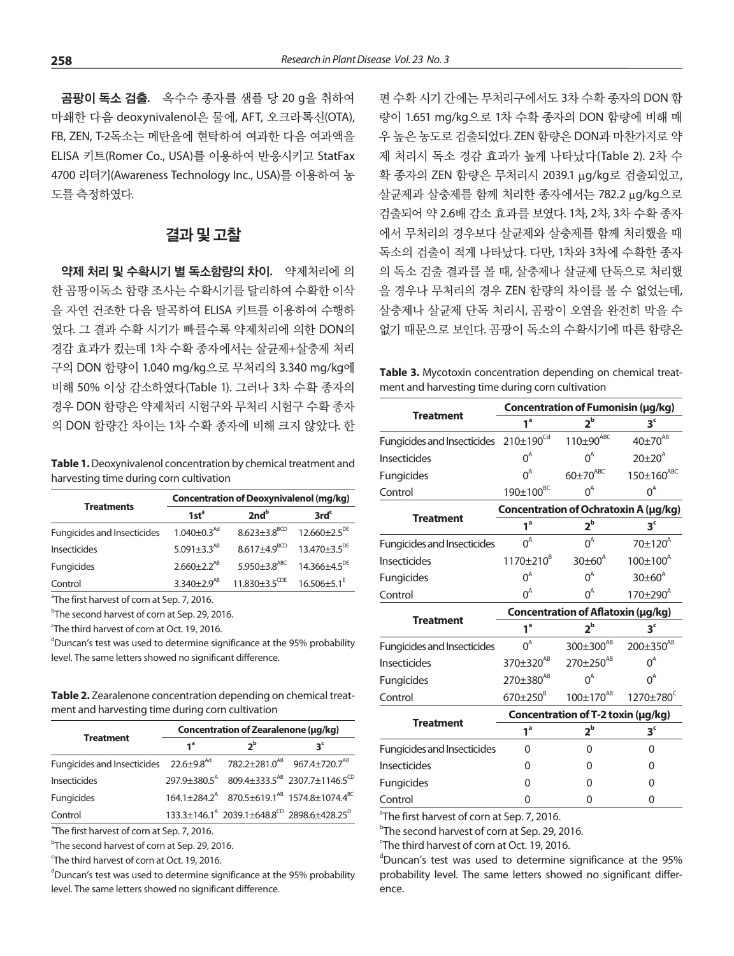곰팡이 독소 검출**.** 옥수수 종자를 샘플 당 20 g을 취하여 마쇄한 다음 deoxynivalenol은 물에, AFT, 오크라톡신(OTA), FB, ZEN, T-2독소는 메탄올에 현탁하여 여과한 다음 여과액을 ELISA 키트(Romer Co., USA)를 이용하여 반응시키고 StatFax 4700 리더기(Awareness Technology Inc., USA)를 이용하여 농 도를 측정하였다.

#### 결과 및 고찰

약제 처리 및 수확시기 별 독소함량의 차이**.** 약제처리에 의 한 곰팡이독소 함량 조사는 수확시기를 달리하여 수확한 이삭 을 자연 건조한 다음 탈곡하여 ELISA 키트를 이용하여 수행하 였다. 그 결과 수확 시기가 빠를수록 약제처리에 의한 DON의 경감 효과가 컸는데 1차 수확 종자에서는 살균제+살충제 처리 구의 DON 함량이 1.040 mg/kg으로 무처리의 3.340 mg/kg에 비해 50% 이상 감소하였다(Table 1). 그러나 3차 수확 종자의 경우 DON 함량은 약제처리 시험구와 무처리 시험구 수확 종자 의 DON 함량간 차이는 1차 수확 종자에 비해 크지 않았다. 한

**Table 1.** Deoxynivalenol concentration by chemical treatment and harvesting time during corn cultivation

|                                    | <b>Concentration of Deoxynivalenol (mg/kg)</b> |                                                           |                                                               |  |  |  |  |  |  |
|------------------------------------|------------------------------------------------|-----------------------------------------------------------|---------------------------------------------------------------|--|--|--|--|--|--|
| <b>Treatments</b>                  | 1st <sup>a</sup>                               | 2nd <sup>b</sup>                                          | 3rd <sup>c</sup>                                              |  |  |  |  |  |  |
| <b>Fungicides and Insecticides</b> | $1.040 \pm 0.3$ <sup>Ad</sup>                  |                                                           | $8.623 \pm 3.8$ <sup>BCD</sup> 12.660 $\pm 2.5$ <sup>DE</sup> |  |  |  |  |  |  |
| <b>Insecticides</b>                | 5.091 $\pm$ 3.3 <sup>AB</sup>                  |                                                           | $8.617 + 4.9^{BCD}$ 13.470 + 3.5 <sup>DE</sup>                |  |  |  |  |  |  |
| <b>Fungicides</b>                  | $2.660 + 2.2^{AB}$                             | $5.950 \pm 3.8$ <sup>ABC</sup>                            | $14.366 + 4.5^{DE}$                                           |  |  |  |  |  |  |
| Control                            | $3.340 + 2.9$ <sup>AB</sup>                    | $11.830 \pm 3.5^{\text{CDE}}$ $16.506 \pm 5.1^{\text{E}}$ |                                                               |  |  |  |  |  |  |

<sup>a</sup>The first harvest of corn at Sep. 7, 2016.

<sup>b</sup>The second harvest of corn at Sep. 29, 2016.

<sup>c</sup>The third harvest of corn at Oct. 19, 2016.

<sup>d</sup>Duncan's test was used to determine significance at the 95% probability level. The same letters showed no significant difference.

**Table 2.** Zearalenone concentration depending on chemical treatment and harvesting time during corn cultivation

|                                                                                               | Concentration of Zearalenone (µg/kg) |                |                                                                                 |  |  |  |  |  |  |  |
|-----------------------------------------------------------------------------------------------|--------------------------------------|----------------|---------------------------------------------------------------------------------|--|--|--|--|--|--|--|
| <b>Treatment</b>                                                                              | $1^a$                                | ን <sup>b</sup> | s,                                                                              |  |  |  |  |  |  |  |
| Fungicides and Insecticides $22.6 \pm 9.8^{Ad}$ $782.2 \pm 281.0^{AB}$ 967.4 $\pm 720.7^{AB}$ |                                      |                |                                                                                 |  |  |  |  |  |  |  |
| <b>Insecticides</b>                                                                           |                                      |                | $297.9 \pm 380.5^{\circ}$ 809.4 $\pm 333.5^{\circ}$ 2307.7 $\pm 1146.5^{\circ}$ |  |  |  |  |  |  |  |
| <b>Fungicides</b>                                                                             |                                      |                | 164.1±284.2 <sup>A</sup> 870.5±619.1 <sup>AB</sup> 1574.8±1074.4 <sup>BC</sup>  |  |  |  |  |  |  |  |
| Control                                                                                       |                                      |                | $133.3 \pm 146.1^{A}$ 2039.1 $\pm 648.8^{CD}$ 2898.6 $\pm 428.25^{D}$           |  |  |  |  |  |  |  |

<sup>a</sup>The first harvest of corn at Sep. 7, 2016.

<sup>b</sup>The second harvest of corn at Sep. 29, 2016.

<sup>c</sup>The third harvest of corn at Oct. 19, 2016.

<sup>d</sup>Duncan's test was used to determine significance at the 95% probability level. The same letters showed no significant difference.

편 수확 시기 간에는 무처리구에서도 3차 수확 종자의 DON 함 량이 1.651 mg/kg으로 1차 수확 종자의 DON 함량에 비해 매 우 높은 농도로 검출되었다. ZEN 함량은 DON과 마찬가지로 약 제 처리시 독소 경감 효과가 높게 나타났다(Table 2). 2차 수 확 종자의 ZEN 함량은 무처리시 2039.1 μg/kg로 검출되었고, 살균제과 살충제를 함께 처리한 종자에서는 782.2 μg/kg으로 검출되어 약 2.6배 감소 효과를 보였다. 1차, 2차, 3차 수확 종자 에서 무처리의 경우보다 살균제와 살충제를 함께 처리했을 때 독소의 검출이 적게 나타났다. 다만, 1차와 3차에 수확한 종자 의 독소 검출 결과를 볼 때, 살충제나 살균제 단독으로 처리했 을 경우나 무처리의 경우 ZEN 함량의 차이를 볼 수 없었는데, 살충제나 살균제 단독 처리시, 곰팡이 오염을 완전히 막을 수 없기 때문으로 보인다. 곰팡이 독소의 수확시기에 따른 함량은

**Table 3.** Mycotoxin concentration depending on chemical treatment and harvesting time during corn cultivation

|                                                   | Concentration of Fumonisin (µg/kg) |                                       |                       |  |  |  |  |  |  |
|---------------------------------------------------|------------------------------------|---------------------------------------|-----------------------|--|--|--|--|--|--|
| <b>Treatment</b>                                  | 1 <sup>a</sup>                     | $2^{\rm b}$                           | 3 <sup>c</sup>        |  |  |  |  |  |  |
| Fungicides and Insecticides 210±190 <sup>Cd</sup> |                                    | $110\pm90^{ABC}$                      | $40\pm70^{AB}$        |  |  |  |  |  |  |
| <b>Insecticides</b>                               | $0^A$                              | $0^A$                                 | $20\pm 20^{A}$        |  |  |  |  |  |  |
| Fungicides                                        | $0^A$                              | $60\pm70^{ABC}$                       | $150 \pm 160^{ABC}$   |  |  |  |  |  |  |
| Control                                           | $190\pm100^{BC}$                   | $0^A$                                 | $0^A$                 |  |  |  |  |  |  |
|                                                   |                                    | Concentration of Ochratoxin A (µg/kg) |                       |  |  |  |  |  |  |
| <b>Treatment</b>                                  | 1 <sup>a</sup>                     | $2^{\rm b}$                           | 3 <sup>c</sup>        |  |  |  |  |  |  |
| <b>Fungicides and Insecticides</b>                | $0^A$                              | $0^A$                                 | $70±120^4$            |  |  |  |  |  |  |
| <b>Insecticides</b>                               | 1170±210 <sup>B</sup>              | $30\pm 60^{A}$                        | $100 \pm 100^{A}$     |  |  |  |  |  |  |
| Fungicides                                        | $0^A$                              | $0^A$                                 | $30\pm 60^{\circ}$    |  |  |  |  |  |  |
| Control                                           | $0^A$                              | $0^A$                                 | 170±290 <sup>A</sup>  |  |  |  |  |  |  |
|                                                   | Concentration of Aflatoxin (µg/kg) |                                       |                       |  |  |  |  |  |  |
| <b>Treatment</b>                                  | $1^a$                              | $2^{\rm b}$                           | 3 <sup>c</sup>        |  |  |  |  |  |  |
| <b>Fungicides and Insecticides</b>                | $0^A$                              | 300±300 <sup>AB</sup>                 | 200±350 <sup>AB</sup> |  |  |  |  |  |  |
| Insecticides                                      | 370±320 <sup>AB</sup>              | 270±250 <sup>AB</sup>                 | $0^A$                 |  |  |  |  |  |  |
| Fungicides                                        | 270±380 <sup>AB</sup>              | $0^A$                                 | $0^A$                 |  |  |  |  |  |  |
| Control                                           | $670 \pm 250^8$                    | $100 \pm 170^{AB}$                    | 1270±780 <sup>C</sup> |  |  |  |  |  |  |
|                                                   |                                    | Concentration of T-2 toxin (µg/kg)    |                       |  |  |  |  |  |  |
| <b>Treatment</b>                                  | 1 <sup>a</sup>                     | $2^{\rm b}$                           | 3 <sup>c</sup>        |  |  |  |  |  |  |
| <b>Fungicides and Insecticides</b>                | $\Omega$                           | $\mathbf{0}$                          | $\Omega$              |  |  |  |  |  |  |
| <b>Insecticides</b>                               | 0                                  | 0                                     | 0                     |  |  |  |  |  |  |
| Fungicides                                        | 0                                  | O                                     | O                     |  |  |  |  |  |  |
| Control                                           | 0                                  | 0                                     | 0                     |  |  |  |  |  |  |

<sup>a</sup>The first harvest of corn at Sep. 7, 2016.

<sup>b</sup>The second harvest of corn at Sep. 29, 2016.

'The third harvest of corn at Oct. 19, 2016.

d Duncan's test was used to determine significance at the 95% probability level. The same letters showed no significant difference.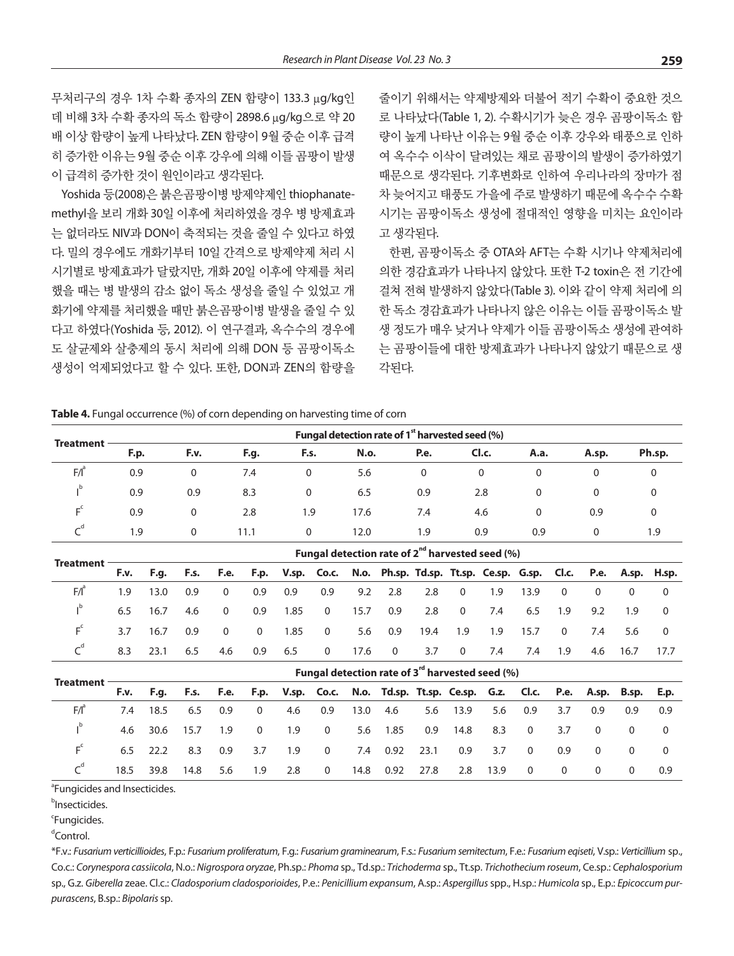무처리구의 경우 1차 수확 종자의 ZEN 함량이 133.3 μg/kg인 데 비해 3차 수확 종자의 독소 함량이 2898.6 μg/kg으로 약 20 배 이상 함량이 높게 나타났다. ZEN 함량이 9월 중순 이후 급격 히 증가한 이유는 9월 중순 이후 강우에 의해 이들 곰팡이 발생 이 급격히 증가한 것이 원인이라고 생각된다.

Yoshida 등(2008)은 붉은곰팡이병 방제약제인 thiophanatemethyl을 보리 개화 30일 이후에 처리하였을 경우 병 방제효과 는 없더라도 NIV과 DON이 축적되는 것을 줄일 수 있다고 하였 다. 밀의 경우에도 개화기부터 10일 간격으로 방제약제 처리 시 시기별로 방제효과가 달랐지만, 개화 20일 이후에 약제를 처리 했을 때는 병 발생의 감소 없이 독소 생성을 줄일 수 있었고 개 화기에 약제를 처리했을 때만 붉은곰팡이병 발생을 줄일 수 있 다고 하였다(Yoshida 등, 2012). 이 연구결과, 옥수수의 경우에 도 살균제와 살충제의 동시 처리에 의해 DON 등 곰팡이독소 생성이 억제되었다고 할 수 있다. 또한, DON과 ZEN의 함량을 줄이기 위해서는 약제방제와 더불어 적기 수확이 중요한 것으 로 나타났다(Table 1, 2). 수확시기가 늦은 경우 곰팡이독소 함 량이 높게 나타난 이유는 9월 중순 이후 강우와 태풍으로 인하 여 옥수수 이삭이 달려있는 채로 곰팡이의 발생이 증가하였기 때문으로 생각된다. 기후변화로 인하여 우리나라의 장마가 점 차 늦어지고 태풍도 가을에 주로 발생하기 때문에 옥수수 수확 시기는 곰팡이독소 생성에 절대적인 영향을 미치는 요인이라 고 생각된다.

한편, 곰팡이독소 중 OTA와 AFT는 수확 시기나 약제처리에 의한 경감효과가 나타나지 않았다. 또한 T-2 toxin은 전 기간에 걸쳐 전혀 발생하지 않았다(Table 3). 이와 같이 약제 처리에 의 한 독소 경감효과가 나타나지 않은 이유는 이들 곰팡이독소 발 생 정도가 매우 낮거나 약제가 이들 곰팡이독소 생성에 관여하 는 곰팡이들에 대한 방제효과가 나타나지 않았기 때문으로 생 각된다.

**Table 4.** Fungal occurrence (%) of corn depending on harvesting time of corn

|                  |      | Fungal detection rate of 1 <sup>st</sup> harvested seed (%) |             |          |             |      |       |          |          |        |  |  |  |  |  |  |
|------------------|------|-------------------------------------------------------------|-------------|----------|-------------|------|-------|----------|----------|--------|--|--|--|--|--|--|
| <b>Treatment</b> | F.p. | F.v.                                                        | <b>F.g.</b> | F.s.     | <b>N.o.</b> | P.e. | Cl.c. | A.a.     | A.sp.    | Ph.sp. |  |  |  |  |  |  |
| $F/I^{\circ}$    | 0.9  | $\mathbf{0}$                                                | 7.4         | 0        | 5.6         | 0    | 0     | $\Omega$ | 0        |        |  |  |  |  |  |  |
| .ט               | 0.9  | 0.9                                                         | 8.3         | $\Omega$ | 6.5         | 0.9  | 2.8   | $\Omega$ | $\Omega$ |        |  |  |  |  |  |  |
| $E^{\text{c}}$   | 0.9  | $\mathbf{0}$                                                | 2.8         | 1.9      | 17.6        | 7.4  | 4.6   | $\Omega$ | 0.9      | 0      |  |  |  |  |  |  |
|                  | 1.9  | $\mathbf{0}$                                                | 11.1        | $\Omega$ | 12.0        | 1.9  | 0.9   | 0.9      | $\Omega$ | 1.9    |  |  |  |  |  |  |
|                  |      |                                                             |             |          |             |      |       |          |          |        |  |  |  |  |  |  |

|                  | Fungal detection rate of $2^{nd}$ harvested seed (%) |      |     |          |          |                                                                                               |                |      |                |      |                         |     |      |          |          |       |     |
|------------------|------------------------------------------------------|------|-----|----------|----------|-----------------------------------------------------------------------------------------------|----------------|------|----------------|------|-------------------------|-----|------|----------|----------|-------|-----|
| <b>Treatment</b> | F.v.                                                 |      |     |          |          | F.g. F.s. F.e. F.p. V.sp. Co.c. N.o. Ph.sp. Td.sp. Tt.sp. Ce.sp. G.sp. Cl.c. P.e. A.sp. H.sp. |                |      |                |      |                         |     |      |          |          |       |     |
| $F/I^a$          | 19                                                   | 13.0 | 0.9 | $\Omega$ | 0.9      | 0.9                                                                                           | 0.9            | 9.2  | 2.8            | 2.8  | $\overline{\mathbf{0}}$ | 1.9 | 13.9 | $\Omega$ | $\Omega$ | 0     |     |
|                  | 6.5                                                  | 16.7 | 4.6 | $\Omega$ | 0.9      | 1.85                                                                                          | $\overline{0}$ | 15.7 | 0.9            | 2.8  | $\overline{0}$          | 7.4 | 6.5  | 1.9      | 9.2      | 1.9   |     |
|                  | 37                                                   | 16.7 | 0.9 | $\Omega$ | $\Omega$ | 1.85                                                                                          | $\overline{0}$ | 5.6  | 0.9            | 19.4 | 1.9                     | 1.9 | 15.7 | $\Omega$ | 7.4      | 5.6   | - 0 |
|                  | 8.3                                                  | 23.1 | 6.5 | 4.6      | 0.9      | 6.5                                                                                           | $\overline{0}$ | 17.6 | $\overline{0}$ | 3.7  | $\Omega$                | 7.4 | 7.4  | -1.9     | 4.6      | -16.7 |     |

|                  | Fungal detection rate of 3 <sup>rd</sup> harvested seed (%) |      |      |     |          |     |                |      |          |      |                                                                                            |      |                |          |          |     |     |
|------------------|-------------------------------------------------------------|------|------|-----|----------|-----|----------------|------|----------|------|--------------------------------------------------------------------------------------------|------|----------------|----------|----------|-----|-----|
| <b>Treatment</b> | F.v.                                                        |      |      |     |          |     |                |      |          |      | F.g. F.s. F.e. F.p. V.sp. Co.c. N.o. Td.sp. Tt.sp. Ce.sp. G.z. Cl.c. P.e. A.sp. B.sp. E.p. |      |                |          |          |     |     |
| $F/I^{\circ}$    | 7.4                                                         | 18.5 | 6.5  | 0.9 | $\Omega$ | 4.6 | 0.9            | 13.0 | 4.6      | 5.6  | 13.9                                                                                       | 5.6  | 0.9            | 3.7      | 0.9      | 09. | 0.9 |
|                  | 4.6                                                         | 30.6 | 15.7 | 1.9 | $\Omega$ | 1.9 | $\overline{0}$ |      | 5.6 1.85 | 0.9  | 14.8                                                                                       | 8.3  | $\overline{0}$ | 3.7      | $\Omega$ |     |     |
|                  | 6.5                                                         | 22.2 | 8.3  | 0.9 | 3.7      | 1.9 | $\Omega$       | 7.4  | 0.92     | 23.1 | 0.9 <sub>0</sub>                                                                           | 3.7  | $\overline{0}$ | 0.9      | $\Omega$ |     |     |
|                  | 18.5                                                        | 39.8 | 14.8 | 5.6 | 1.9      | 2.8 | $\overline{0}$ | 14.8 | 0.92     | 27.8 | 2.8                                                                                        | 13.9 | $\overline{0}$ | $\Omega$ | $\Omega$ |     | 0.9 |

<sup>a</sup>Fungicides and Insecticides.

**b**Insecticides.

<sup>c</sup>Fungicides.

d Control.

\*F.v.: *Fusarium verticillioides*, F.p.: *Fusarium proliferatum*, F.g.: *Fusarium graminearum*, F.s.: *Fusarium semitectum*, F.e.: *Fusarium eqiseti*, V.sp.: *Verticillium* sp., Co.c.: *Corynespora cassiicola*, N.o.: *Nigrospora oryzae*, Ph.sp.: *Phoma* sp., Td.sp.: *Trichoderma* sp., Tt.sp. *Trichothecium roseum*, Ce.sp.: *Cephalosporium* sp., G.z. *Giberella* zeae. Cl.c.: *Cladosporium cladosporioides*, P.e.: *Penicillium expansum*, A.sp.: *Aspergillus* spp., H.sp.: *Humicola* sp., E.p.: *Epicoccum purpurascens*, B.sp.: *Bipolaris* sp.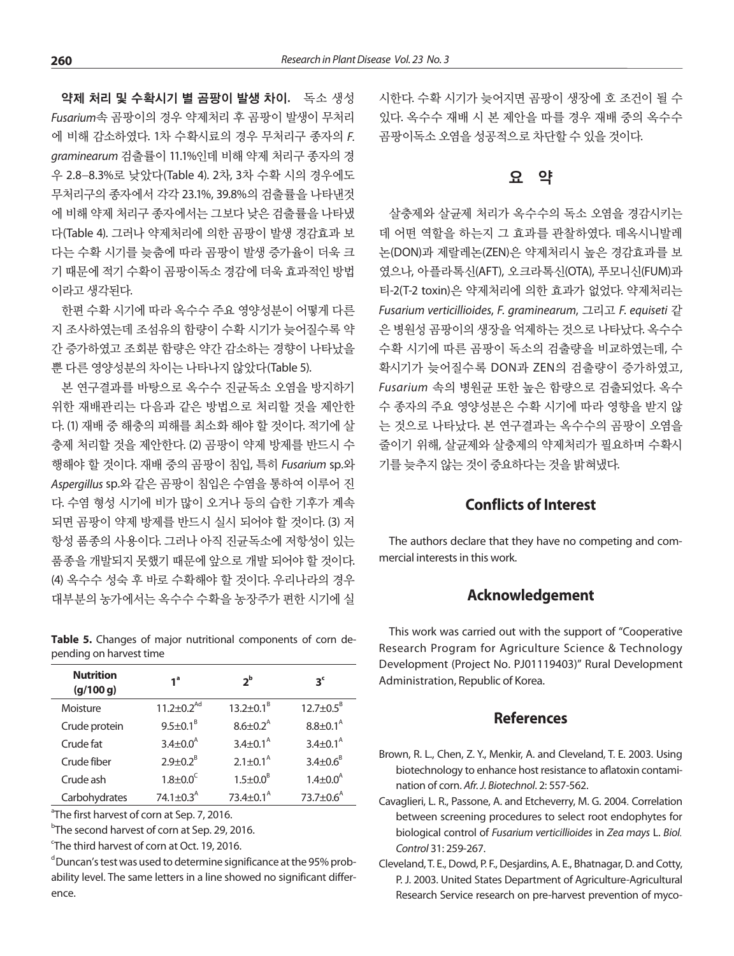약제 처리 및 수확시기 별 곰팡이 발생 차이**.** 독소 생성 *Fusarium*속 곰팡이의 경우 약제처리 후 곰팡이 발생이 무처리 에 비해 감소하였다. 1차 수확시료의 경우 무처리구 종자의 *F. graminearum* 검출률이 11.1%인데 비해 약제 처리구 종자의 경 우 2.8-8.3%로 낮았다(Table 4). 2차, 3차 수확 시의 경우에도 무처리구의 종자에서 각각 23.1%, 39.8%의 검출률을 나타낸것 에 비해 약제 처리구 종자에서는 그보다 낮은 검출률을 나타냈 다(Table 4). 그러나 약제처리에 의한 곰팡이 발생 경감효과 보 다는 수확 시기를 늦춤에 따라 곰팡이 발생 증가율이 더욱 크 기 때문에 적기 수확이 곰팡이독소 경감에 더욱 효과적인 방법 이라고 생각된다.

한편 수확 시기에 따라 옥수수 주요 영양성분이 어떻게 다른 지 조사하였는데 조섬유의 함량이 수확 시기가 늦어질수록 약 간 증가하였고 조회분 함량은 약간 감소하는 경향이 나타났을 뿐 다른 영양성분의 차이는 나타나지 않았다(Table 5).

본 연구결과를 바탕으로 옥수수 진균독소 오염을 방지하기 위한 재배관리는 다음과 같은 방법으로 처리할 것을 제안한 다. (1) 재배 중 해충의 피해를 최소화 해야 할 것이다. 적기에 살 충제 처리할 것을 제안한다. (2) 곰팡이 약제 방제를 반드시 수 행해야 할 것이다. 재배 중의 곰팡이 침입, 특히 *Fusarium* sp.와 *Aspergillus* sp.와 같은 곰팡이 침입은 수염을 통하여 이루어 진 다. 수염 형성 시기에 비가 많이 오거나 등의 습한 기후가 계속 되면 곰팡이 약제 방제를 반드시 실시 되어야 할 것이다. (3) 저 항성 품종의 사용이다. 그러나 아직 진균독소에 저항성이 있는 품종을 개발되지 못했기 때문에 앞으로 개발 되어야 할 것이다. (4) 옥수수 성숙 후 바로 수확해야 할 것이다. 우리나라의 경우 대부분의 농가에서는 옥수수 수확을 농장주가 편한 시기에 실

**Table 5.** Changes of major nutritional components of corn depending on harvest time

| 1 <sup>a</sup>               | $2^{\rm b}$                | 3 <sup>c</sup>              |
|------------------------------|----------------------------|-----------------------------|
| $11.2 \pm 0.2$ <sup>Ad</sup> | $13.2 \pm 0.1^8$           | $12.7 \pm 0.5^8$            |
| $9.5 \pm 0.1^8$              | $8.6 \pm 0.2$ <sup>A</sup> | $8.8 \pm 0.1^{\text{A}}$    |
| $3.4 \pm 0.0^{\text{A}}$     | $3.4 \pm 0.1^{\text{A}}$   | $3.4 \pm 0.1^{\text{A}}$    |
| $2.9 \pm 0.2^8$              | $2.1 \pm 0.1^{\text{A}}$   | $3.4 \pm 0.6^8$             |
| $1.8 \pm 0.0^C$              | $1.5 \pm 0.0^8$            | $1.4 \pm 0.0^{\text{A}}$    |
| 74.1 $\pm$ 0.3 <sup>A</sup>  | $73.4 + 0.1^A$             | 73.7 $\pm$ 0.6 <sup>A</sup> |
|                              |                            |                             |

<sup>a</sup>The first harvest of corn at Sep. 7, 2016.

<sup>b</sup>The second harvest of corn at Sep. 29, 2016.

<sup>c</sup>The third harvest of corn at Oct. 19, 2016.

<sup>d</sup>Duncan's test was used to determine significance at the 95% probability level. The same letters in a line showed no significant difference.

시한다. 수확 시기가 늦어지면 곰팡이 생장에 호 조건이 될 수 있다. 옥수수 재배 시 본 제안을 따를 경우 재배 중의 옥수수 곰팡이독소 오염을 성공적으로 차단할 수 있을 것이다.

### 요 약

살충제와 살균제 처리가 옥수수의 독소 오염을 경감시키는 데 어떤 역할을 하는지 그 효과를 관찰하였다. 데옥시니발레 논(DON)과 제랄레논(ZEN)은 약제처리시 높은 경감효과를 보 였으나, 아플라톡신(AFT), 오크라톡신(OTA), 푸모니신(FUM)과 티-2(T-2 toxin)은 약제처리에 의한 효과가 없었다. 약제처리는 *Fusarium verticillioides*, *F. graminearum*, 그리고 *F. equiseti* 같 은 병원성 곰팡이의 생장을 억제하는 것으로 나타났다. 옥수수 수확 시기에 따른 곰팡이 독소의 검출량을 비교하였는데, 수 확시기가 늦어질수록 DON과 ZEN의 검출량이 증가하였고, *Fusarium* 속의 병원균 또한 높은 함량으로 검출되었다. 옥수 수 종자의 주요 영양성분은 수확 시기에 따라 영향을 받지 않 는 것으로 나타났다. 본 연구결과는 옥수수의 곰팡이 오염을 줄이기 위해, 살균제와 살충제의 약제처리가 필요하며 수확시 기를 늦추지 않는 것이 중요하다는 것을 밝혀냈다.

#### **Conflicts of Interest**

The authors declare that they have no competing and commercial interests in this work.

#### **Acknowledgement**

This work was carried out with the support of "Cooperative Research Program for Agriculture Science & Technology Development (Project No. PJ01119403)" Rural Development Administration, Republic of Korea.

#### **References**

- Brown, R. L., Chen, Z. Y., Menkir, A. and Cleveland, T. E. 2003. Using biotechnology to enhance host resistance to aflatoxin contamination of corn. *Afr. J. Biotechnol*. 2: 557-562.
- Cavaglieri, L. R., Passone, A. and Etcheverry, M. G. 2004. Correlation between screening procedures to select root endophytes for biological control of *Fusarium verticillioides* in *Zea mays* L. *Biol. Control* 31: 259-267.
- Cleveland, T. E., Dowd, P. F., Desjardins, A. E., Bhatnagar, D. and Cotty, P. J. 2003. United States Department of Agriculture-Agricultural Research Service research on pre-harvest prevention of myco-